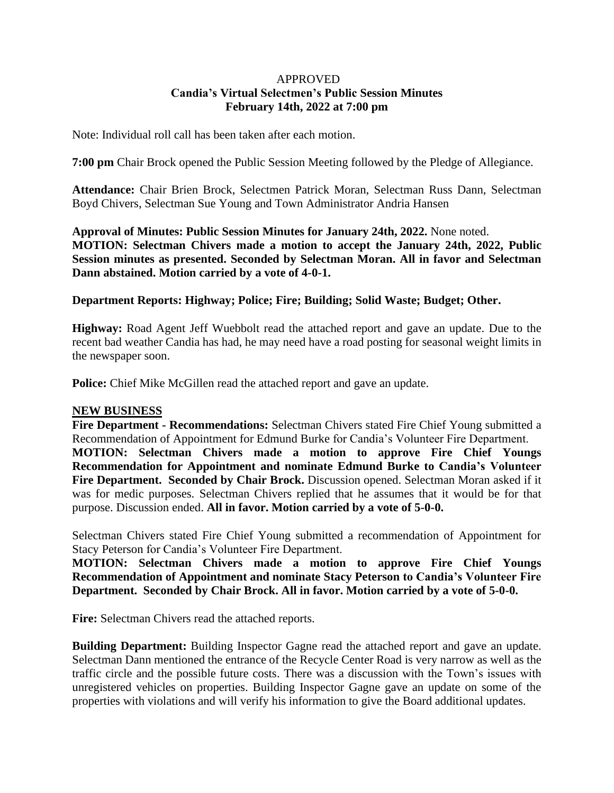### APPROVED **Candia's Virtual Selectmen's Public Session Minutes February 14th, 2022 at 7:00 pm**

Note: Individual roll call has been taken after each motion.

**7:00 pm** Chair Brock opened the Public Session Meeting followed by the Pledge of Allegiance.

**Attendance:** Chair Brien Brock, Selectmen Patrick Moran, Selectman Russ Dann, Selectman Boyd Chivers, Selectman Sue Young and Town Administrator Andria Hansen

**Approval of Minutes: Public Session Minutes for January 24th, 2022.** None noted. **MOTION: Selectman Chivers made a motion to accept the January 24th, 2022, Public Session minutes as presented. Seconded by Selectman Moran. All in favor and Selectman Dann abstained. Motion carried by a vote of 4-0-1.**

## **Department Reports: Highway; Police; Fire; Building; Solid Waste; Budget; Other.**

**Highway:** Road Agent Jeff Wuebbolt read the attached report and gave an update. Due to the recent bad weather Candia has had, he may need have a road posting for seasonal weight limits in the newspaper soon.

**Police:** Chief Mike McGillen read the attached report and gave an update.

### **NEW BUSINESS**

**Fire Department - Recommendations:** Selectman Chivers stated Fire Chief Young submitted a Recommendation of Appointment for Edmund Burke for Candia's Volunteer Fire Department.

**MOTION: Selectman Chivers made a motion to approve Fire Chief Youngs Recommendation for Appointment and nominate Edmund Burke to Candia's Volunteer Fire Department. Seconded by Chair Brock.** Discussion opened. Selectman Moran asked if it was for medic purposes. Selectman Chivers replied that he assumes that it would be for that purpose. Discussion ended. **All in favor. Motion carried by a vote of 5-0-0.**

Selectman Chivers stated Fire Chief Young submitted a recommendation of Appointment for Stacy Peterson for Candia's Volunteer Fire Department.

**MOTION: Selectman Chivers made a motion to approve Fire Chief Youngs Recommendation of Appointment and nominate Stacy Peterson to Candia's Volunteer Fire Department. Seconded by Chair Brock. All in favor. Motion carried by a vote of 5-0-0.**

**Fire:** Selectman Chivers read the attached reports.

**Building Department:** Building Inspector Gagne read the attached report and gave an update. Selectman Dann mentioned the entrance of the Recycle Center Road is very narrow as well as the traffic circle and the possible future costs. There was a discussion with the Town's issues with unregistered vehicles on properties. Building Inspector Gagne gave an update on some of the properties with violations and will verify his information to give the Board additional updates.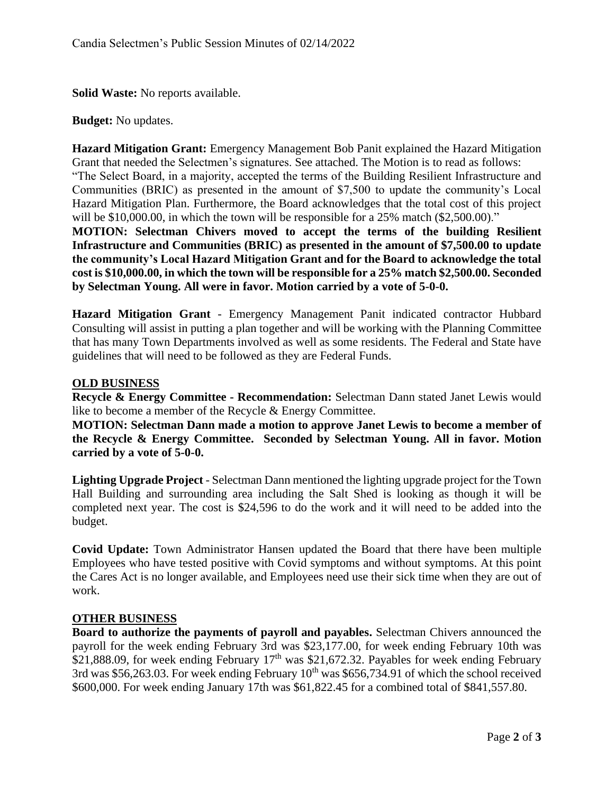**Solid Waste:** No reports available.

### **Budget:** No updates.

**Hazard Mitigation Grant:** Emergency Management Bob Panit explained the Hazard Mitigation Grant that needed the Selectmen's signatures. See attached. The Motion is to read as follows:

"The Select Board, in a majority, accepted the terms of the Building Resilient Infrastructure and Communities (BRIC) as presented in the amount of \$7,500 to update the community's Local Hazard Mitigation Plan. Furthermore, the Board acknowledges that the total cost of this project will be \$10,000.00, in which the town will be responsible for a 25% match (\$2,500.00)."

**MOTION: Selectman Chivers moved to accept the terms of the building Resilient Infrastructure and Communities (BRIC) as presented in the amount of \$7,500.00 to update the community's Local Hazard Mitigation Grant and for the Board to acknowledge the total cost is \$10,000.00, in which the town will be responsible for a 25% match \$2,500.00. Seconded by Selectman Young. All were in favor. Motion carried by a vote of 5-0-0.** 

**Hazard Mitigation Grant** - Emergency Management Panit indicated contractor Hubbard Consulting will assist in putting a plan together and will be working with the Planning Committee that has many Town Departments involved as well as some residents. The Federal and State have guidelines that will need to be followed as they are Federal Funds.

## **OLD BUSINESS**

**Recycle & Energy Committee - Recommendation:** Selectman Dann stated Janet Lewis would like to become a member of the Recycle & Energy Committee.

**MOTION: Selectman Dann made a motion to approve Janet Lewis to become a member of the Recycle & Energy Committee. Seconded by Selectman Young. All in favor. Motion carried by a vote of 5-0-0.**

**Lighting Upgrade Project** - Selectman Dann mentioned the lighting upgrade project for the Town Hall Building and surrounding area including the Salt Shed is looking as though it will be completed next year. The cost is \$24,596 to do the work and it will need to be added into the budget.

**Covid Update:** Town Administrator Hansen updated the Board that there have been multiple Employees who have tested positive with Covid symptoms and without symptoms. At this point the Cares Act is no longer available, and Employees need use their sick time when they are out of work.

### **OTHER BUSINESS**

**Board to authorize the payments of payroll and payables.** Selectman Chivers announced the payroll for the week ending February 3rd was \$23,177.00, for week ending February 10th was \$21,888.09, for week ending February  $17<sup>th</sup>$  was \$21,672.32. Payables for week ending February 3rd was \$56,263.03. For week ending February  $10^{th}$  was \$656,734.91 of which the school received \$600,000. For week ending January 17th was \$61,822.45 for a combined total of \$841,557.80.